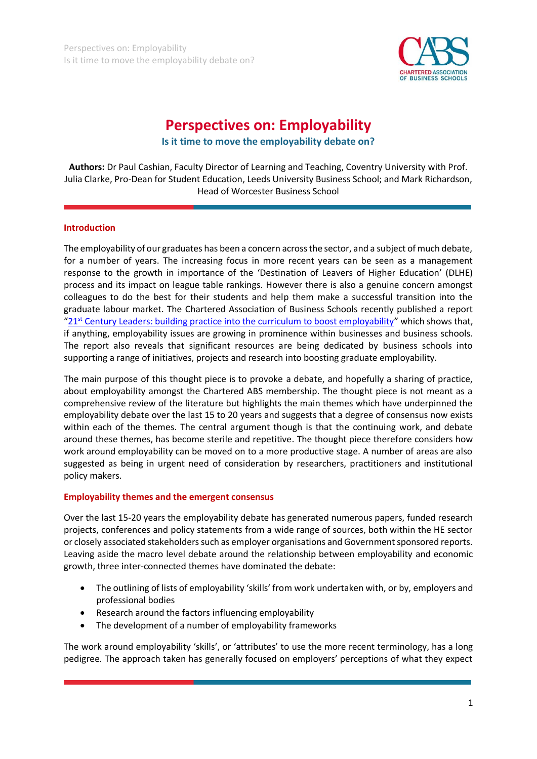

# **Perspectives on: Employability**

**Is it time to move the employability debate on?**

**Authors:** Dr Paul Cashian, Faculty Director of Learning and Teaching, Coventry University with Prof. Julia Clarke, Pro-Dean for Student Education, Leeds University Business School; and Mark Richardson, Head of Worcester Business School

#### **Introduction**

The employability of our graduates has been a concern across the sector, and a subject of much debate, for a number of years. The increasing focus in more recent years can be seen as a management response to the growth in importance of the 'Destination of Leavers of Higher Education' (DLHE) process and its impact on league table rankings. However there is also a genuine concern amongst colleagues to do the best for their students and help them make a successful transition into the graduate labour market. The Chartered Association of Business Schools recently published a report "21st [Century Leaders: building practice into the curriculum to boost employability](http://charteredabs.org/wp-content/uploads/2015/02/21st_century_leaders_june2014_-_final_report.pdf)" which shows that, if anything, employability issues are growing in prominence within businesses and business schools. The report also reveals that significant resources are being dedicated by business schools into supporting a range of initiatives, projects and research into boosting graduate employability.

The main purpose of this thought piece is to provoke a debate, and hopefully a sharing of practice, about employability amongst the Chartered ABS membership. The thought piece is not meant as a comprehensive review of the literature but highlights the main themes which have underpinned the employability debate over the last 15 to 20 years and suggests that a degree of consensus now exists within each of the themes. The central argument though is that the continuing work, and debate around these themes, has become sterile and repetitive. The thought piece therefore considers how work around employability can be moved on to a more productive stage. A number of areas are also suggested as being in urgent need of consideration by researchers, practitioners and institutional policy makers.

#### **Employability themes and the emergent consensus**

Over the last 15-20 years the employability debate has generated numerous papers, funded research projects, conferences and policy statements from a wide range of sources, both within the HE sector or closely associated stakeholders such as employer organisations and Government sponsored reports. Leaving aside the macro level debate around the relationship between employability and economic growth, three inter-connected themes have dominated the debate:

- The outlining of lists of employability 'skills' from work undertaken with, or by, employers and professional bodies
- Research around the factors influencing employability
- The development of a number of employability frameworks

The work around employability 'skills', or 'attributes' to use the more recent terminology, has a long pedigree. The approach taken has generally focused on employers' perceptions of what they expect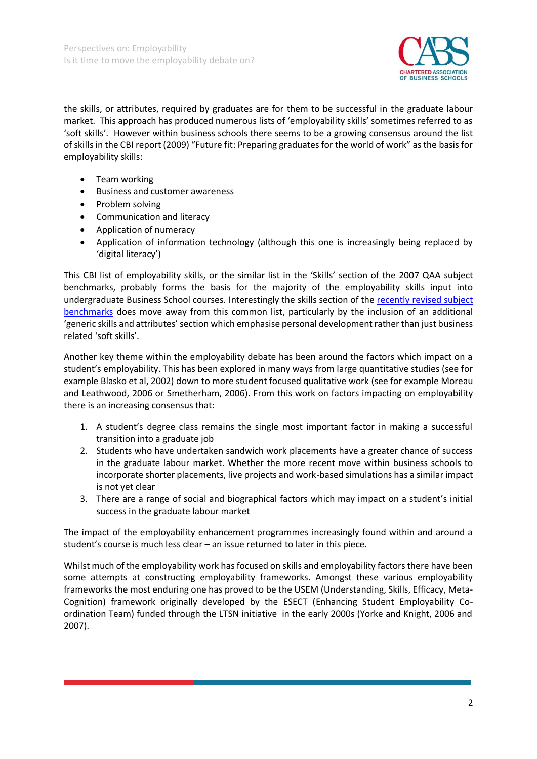

the skills, or attributes, required by graduates are for them to be successful in the graduate labour market. This approach has produced numerous lists of 'employability skills' sometimes referred to as 'soft skills'. However within business schools there seems to be a growing consensus around the list of skills in the CBI report (2009) "Future fit: Preparing graduates for the world of work" as the basis for employability skills:

- Team working
- Business and customer awareness
- Problem solving
- Communication and literacy
- Application of numeracy
- Application of information technology (although this one is increasingly being replaced by 'digital literacy')

This CBI list of employability skills, or the similar list in the 'Skills' section of the 2007 QAA subject benchmarks, probably forms the basis for the majority of the employability skills input into undergraduate Business School courses. Interestingly the skills section of the [recently revised subject](http://www.qaa.ac.uk/en/Publications/Documents/SBS-business-management-15.pdf)  [benchmarks](http://www.qaa.ac.uk/en/Publications/Documents/SBS-business-management-15.pdf) does move away from this common list, particularly by the inclusion of an additional 'generic skills and attributes' section which emphasise personal development rather than just business related 'soft skills'.

Another key theme within the employability debate has been around the factors which impact on a student's employability. This has been explored in many ways from large quantitative studies (see for example Blasko et al, 2002) down to more student focused qualitative work (see for example Moreau and Leathwood, 2006 or Smetherham, 2006). From this work on factors impacting on employability there is an increasing consensus that:

- 1. A student's degree class remains the single most important factor in making a successful transition into a graduate job
- 2. Students who have undertaken sandwich work placements have a greater chance of success in the graduate labour market. Whether the more recent move within business schools to incorporate shorter placements, live projects and work-based simulations has a similar impact is not yet clear
- 3. There are a range of social and biographical factors which may impact on a student's initial success in the graduate labour market

The impact of the employability enhancement programmes increasingly found within and around a student's course is much less clear – an issue returned to later in this piece.

Whilst much of the employability work has focused on skills and employability factors there have been some attempts at constructing employability frameworks. Amongst these various employability frameworks the most enduring one has proved to be the USEM (Understanding, Skills, Efficacy, Meta-Cognition) framework originally developed by the ESECT (Enhancing Student Employability Coordination Team) funded through the LTSN initiative in the early 2000s (Yorke and Knight, 2006 and 2007).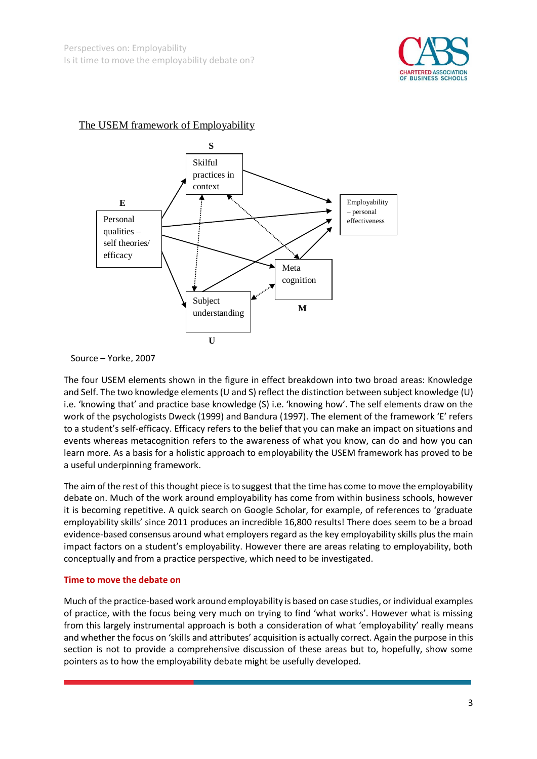

# The USEM framework of Employability



Source – Yorke, 2007

The four USEM elements shown in the figure in effect breakdown into two broad areas: Knowledge and Self. The two knowledge elements (U and S) reflect the distinction between subject knowledge (U) i.e. 'knowing that' and practice base knowledge (S) i.e. 'knowing how'. The self elements draw on the work of the psychologists Dweck (1999) and Bandura (1997). The element of the framework 'E' refers to a student's self-efficacy. Efficacy refers to the belief that you can make an impact on situations and events whereas metacognition refers to the awareness of what you know, can do and how you can learn more. As a basis for a holistic approach to employability the USEM framework has proved to be a useful underpinning framework.

The aim of the rest of this thought piece is to suggest that the time has come to move the employability debate on. Much of the work around employability has come from within business schools, however it is becoming repetitive. A quick search on Google Scholar, for example, of references to 'graduate employability skills' since 2011 produces an incredible 16,800 results! There does seem to be a broad evidence-based consensus around what employers regard as the key employability skills plus the main impact factors on a student's employability. However there are areas relating to employability, both conceptually and from a practice perspective, which need to be investigated.

## **Time to move the debate on**

Much of the practice-based work around employability is based on case studies, or individual examples of practice, with the focus being very much on trying to find 'what works'. However what is missing from this largely instrumental approach is both a consideration of what 'employability' really means and whether the focus on 'skills and attributes' acquisition is actually correct. Again the purpose in this section is not to provide a comprehensive discussion of these areas but to, hopefully, show some pointers as to how the employability debate might be usefully developed.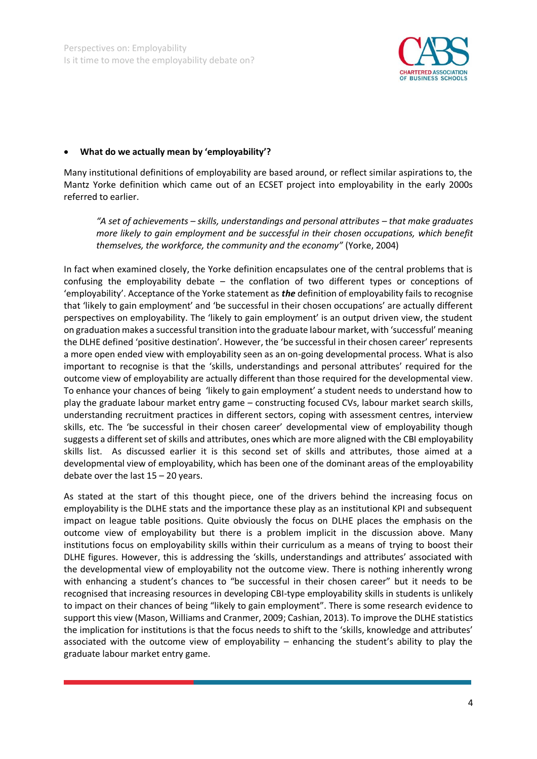

#### **What do we actually mean by 'employability'?**

Many institutional definitions of employability are based around, or reflect similar aspirations to, the Mantz Yorke definition which came out of an ECSET project into employability in the early 2000s referred to earlier.

*"A set of achievements – skills, understandings and personal attributes – that make graduates more likely to gain employment and be successful in their chosen occupations, which benefit themselves, the workforce, the community and the economy"* (Yorke, 2004)

In fact when examined closely, the Yorke definition encapsulates one of the central problems that is confusing the employability debate – the conflation of two different types or conceptions of 'employability'. Acceptance of the Yorke statement as *the* definition of employability fails to recognise that 'likely to gain employment' and 'be successful in their chosen occupations' are actually different perspectives on employability. The 'likely to gain employment' is an output driven view, the student on graduation makes a successful transition into the graduate labour market, with 'successful' meaning the DLHE defined 'positive destination'. However, the 'be successful in their chosen career' represents a more open ended view with employability seen as an on-going developmental process. What is also important to recognise is that the 'skills, understandings and personal attributes' required for the outcome view of employability are actually different than those required for the developmental view. To enhance your chances of being 'likely to gain employment' a student needs to understand how to play the graduate labour market entry game – constructing focused CVs, labour market search skills, understanding recruitment practices in different sectors, coping with assessment centres, interview skills, etc. The 'be successful in their chosen career' developmental view of employability though suggests a different set of skills and attributes, ones which are more aligned with the CBI employability skills list. As discussed earlier it is this second set of skills and attributes, those aimed at a developmental view of employability, which has been one of the dominant areas of the employability debate over the last  $15 - 20$  years.

As stated at the start of this thought piece, one of the drivers behind the increasing focus on employability is the DLHE stats and the importance these play as an institutional KPI and subsequent impact on league table positions. Quite obviously the focus on DLHE places the emphasis on the outcome view of employability but there is a problem implicit in the discussion above. Many institutions focus on employability skills within their curriculum as a means of trying to boost their DLHE figures. However, this is addressing the 'skills, understandings and attributes' associated with the developmental view of employability not the outcome view. There is nothing inherently wrong with enhancing a student's chances to "be successful in their chosen career" but it needs to be recognised that increasing resources in developing CBI-type employability skills in students is unlikely to impact on their chances of being "likely to gain employment". There is some research evidence to support this view (Mason, Williams and Cranmer, 2009; Cashian, 2013). To improve the DLHE statistics the implication for institutions is that the focus needs to shift to the 'skills, knowledge and attributes' associated with the outcome view of employability – enhancing the student's ability to play the graduate labour market entry game.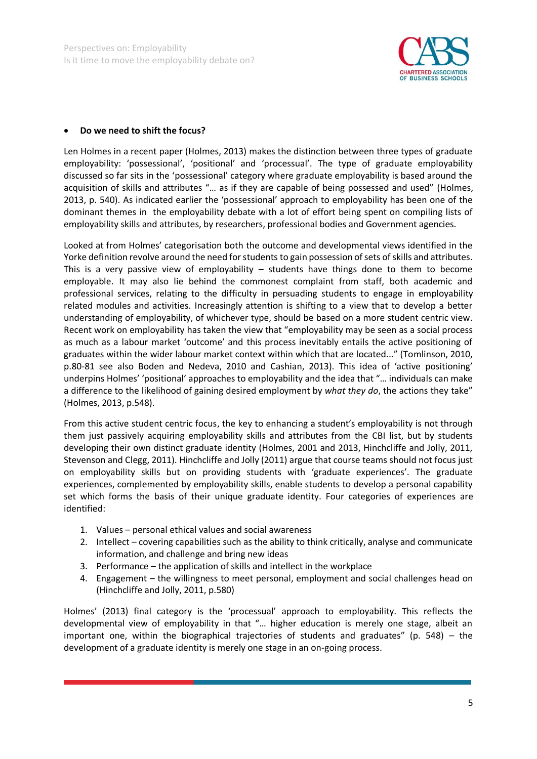

#### **Do we need to shift the focus?**

Len Holmes in a recent paper (Holmes, 2013) makes the distinction between three types of graduate employability: 'possessional', 'positional' and 'processual'. The type of graduate employability discussed so far sits in the 'possessional' category where graduate employability is based around the acquisition of skills and attributes "… as if they are capable of being possessed and used" (Holmes, 2013, p. 540). As indicated earlier the 'possessional' approach to employability has been one of the dominant themes in the employability debate with a lot of effort being spent on compiling lists of employability skills and attributes, by researchers, professional bodies and Government agencies.

Looked at from Holmes' categorisation both the outcome and developmental views identified in the Yorke definition revolve around the need for students to gain possession of sets of skills and attributes. This is a very passive view of employability  $-$  students have things done to them to become employable. It may also lie behind the commonest complaint from staff, both academic and professional services, relating to the difficulty in persuading students to engage in employability related modules and activities. Increasingly attention is shifting to a view that to develop a better understanding of employability, of whichever type, should be based on a more student centric view. Recent work on employability has taken the view that "employability may be seen as a social process as much as a labour market 'outcome' and this process inevitably entails the active positioning of graduates within the wider labour market context within which that are located..." (Tomlinson, 2010, p.80-81 see also Boden and Nedeva, 2010 and Cashian, 2013). This idea of 'active positioning' underpins Holmes' 'positional' approaches to employability and the idea that "… individuals can make a difference to the likelihood of gaining desired employment by *what they do*, the actions they take" (Holmes, 2013, p.548).

From this active student centric focus, the key to enhancing a student's employability is not through them just passively acquiring employability skills and attributes from the CBI list, but by students developing their own distinct graduate identity (Holmes, 2001 and 2013, Hinchcliffe and Jolly, 2011, Stevenson and Clegg, 2011). Hinchcliffe and Jolly (2011) argue that course teams should not focus just on employability skills but on providing students with 'graduate experiences'. The graduate experiences, complemented by employability skills, enable students to develop a personal capability set which forms the basis of their unique graduate identity. Four categories of experiences are identified:

- 1. Values personal ethical values and social awareness
- 2. Intellect covering capabilities such as the ability to think critically, analyse and communicate information, and challenge and bring new ideas
- 3. Performance the application of skills and intellect in the workplace
- 4. Engagement the willingness to meet personal, employment and social challenges head on (Hinchcliffe and Jolly, 2011, p.580)

Holmes' (2013) final category is the 'processual' approach to employability. This reflects the developmental view of employability in that "… higher education is merely one stage, albeit an important one, within the biographical trajectories of students and graduates" (p. 548) – the development of a graduate identity is merely one stage in an on-going process.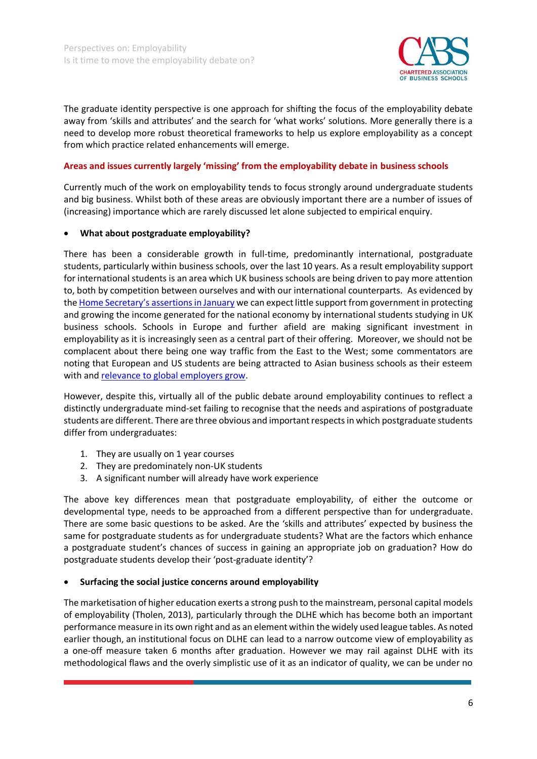

The graduate identity perspective is one approach for shifting the focus of the employability debate away from 'skills and attributes' and the search for 'what works' solutions. More generally there is a need to develop more robust theoretical frameworks to help us explore employability as a concept from which practice related enhancements will emerge.

## **Areas and issues currently largely 'missing' from the employability debate in business schools**

Currently much of the work on employability tends to focus strongly around undergraduate students and big business. Whilst both of these areas are obviously important there are a number of issues of (increasing) importance which are rarely discussed let alone subjected to empirical enquiry.

#### **What about postgraduate employability?**

There has been a considerable growth in full-time, predominantly international, postgraduate students, particularly within business schools, over the last 10 years. As a result employability support for international students is an area which UK business schools are being driven to pay more attention to, both by competition between ourselves and with our international counterparts. As evidenced by the [Home Secretary's assertions in January](http://www.theguardian.com/uk-news/2015/jan/05/theresa-may-student-immigration-james-dyson) we can expect little support from government in protecting and growing the income generated for the national economy by international students studying in UK business schools. Schools in Europe and further afield are making significant investment in employability as it is increasingly seen as a central part of their offering. Moreover, we should not be complacent about there being one way traffic from the East to the West; some commentators are noting that European and US students are being attracted to Asian business schools as their esteem with and [relevance to global employers grow.](http://www.nytimes.com/2014/12/08/world/europe/asian-mba-schools-rise-in-esteem-for-employers.html?_r=0)

However, despite this, virtually all of the public debate around employability continues to reflect a distinctly undergraduate mind-set failing to recognise that the needs and aspirations of postgraduate students are different. There are three obvious and important respects in which postgraduate students differ from undergraduates:

- 1. They are usually on 1 year courses
- 2. They are predominately non-UK students
- 3. A significant number will already have work experience

The above key differences mean that postgraduate employability, of either the outcome or developmental type, needs to be approached from a different perspective than for undergraduate. There are some basic questions to be asked. Are the 'skills and attributes' expected by business the same for postgraduate students as for undergraduate students? What are the factors which enhance a postgraduate student's chances of success in gaining an appropriate job on graduation? How do postgraduate students develop their 'post-graduate identity'?

#### **Surfacing the social justice concerns around employability**

The marketisation of higher education exerts a strong push to the mainstream, personal capital models of employability (Tholen, 2013), particularly through the DLHE which has become both an important performance measure in its own right and as an element within the widely used league tables. As noted earlier though, an institutional focus on DLHE can lead to a narrow outcome view of employability as a one-off measure taken 6 months after graduation. However we may rail against DLHE with its methodological flaws and the overly simplistic use of it as an indicator of quality, we can be under no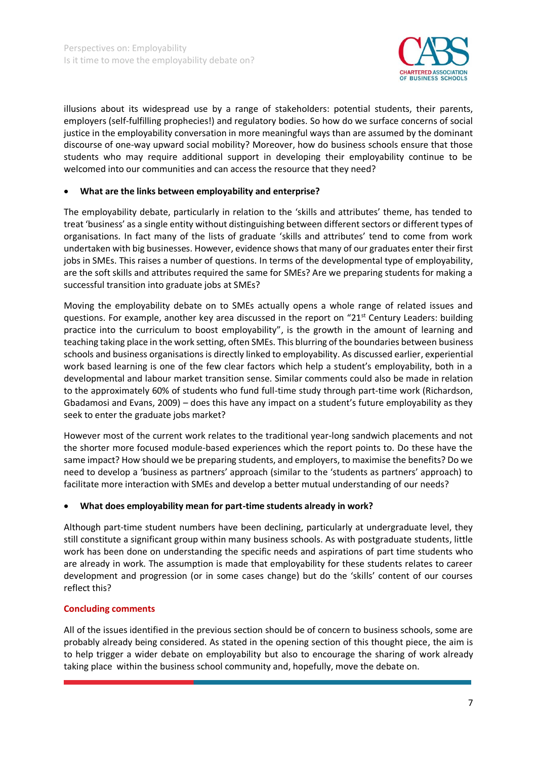

illusions about its widespread use by a range of stakeholders: potential students, their parents, employers (self-fulfilling prophecies!) and regulatory bodies. So how do we surface concerns of social justice in the employability conversation in more meaningful ways than are assumed by the dominant discourse of one-way upward social mobility? Moreover, how do business schools ensure that those students who may require additional support in developing their employability continue to be welcomed into our communities and can access the resource that they need?

## **What are the links between employability and enterprise?**

The employability debate, particularly in relation to the 'skills and attributes' theme, has tended to treat 'business' as a single entity without distinguishing between different sectors or different types of organisations. In fact many of the lists of graduate 'skills and attributes' tend to come from work undertaken with big businesses. However, evidence shows that many of our graduates enter their first jobs in SMEs. This raises a number of questions. In terms of the developmental type of employability, are the soft skills and attributes required the same for SMEs? Are we preparing students for making a successful transition into graduate jobs at SMEs?

Moving the employability debate on to SMEs actually opens a whole range of related issues and questions. For example, another key area discussed in the report on "21<sup>st</sup> Century Leaders: building practice into the curriculum to boost employability", is the growth in the amount of learning and teaching taking place in the work setting, often SMEs. This blurring of the boundaries between business schools and business organisations is directly linked to employability. As discussed earlier, experiential work based learning is one of the few clear factors which help a student's employability, both in a developmental and labour market transition sense. Similar comments could also be made in relation to the approximately 60% of students who fund full-time study through part-time work (Richardson, Gbadamosi and Evans, 2009) – does this have any impact on a student's future employability as they seek to enter the graduate jobs market?

However most of the current work relates to the traditional year-long sandwich placements and not the shorter more focused module-based experiences which the report points to. Do these have the same impact? How should we be preparing students, and employers, to maximise the benefits? Do we need to develop a 'business as partners' approach (similar to the 'students as partners' approach) to facilitate more interaction with SMEs and develop a better mutual understanding of our needs?

## **What does employability mean for part-time students already in work?**

Although part-time student numbers have been declining, particularly at undergraduate level, they still constitute a significant group within many business schools. As with postgraduate students, little work has been done on understanding the specific needs and aspirations of part time students who are already in work. The assumption is made that employability for these students relates to career development and progression (or in some cases change) but do the 'skills' content of our courses reflect this?

## **Concluding comments**

All of the issues identified in the previous section should be of concern to business schools, some are probably already being considered. As stated in the opening section of this thought piece, the aim is to help trigger a wider debate on employability but also to encourage the sharing of work already taking place within the business school community and, hopefully, move the debate on.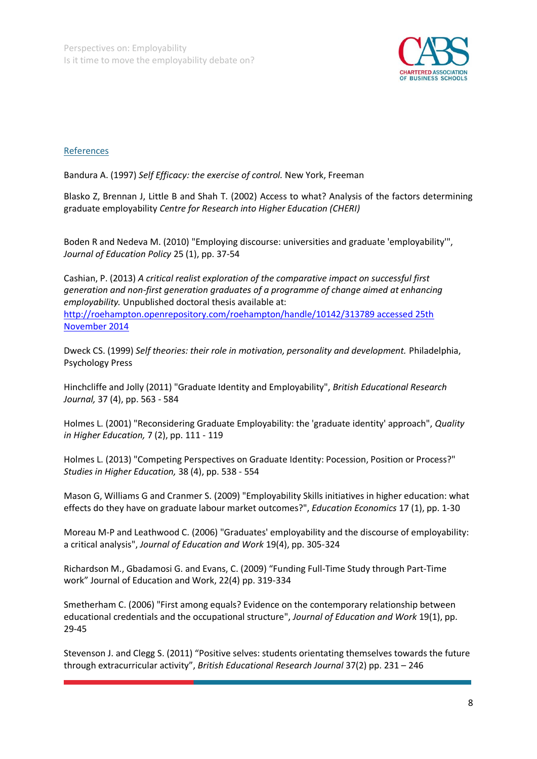

## References

Bandura A. (1997) *Self Efficacy: the exercise of control.* New York, Freeman

Blasko Z, Brennan J, Little B and Shah T. (2002) Access to what? Analysis of the factors determining graduate employability *Centre for Research into Higher Education (CHERI)* 

Boden R and Nedeva M. (2010) "Employing discourse: universities and graduate 'employability'", *Journal of Education Policy* 25 (1), pp. 37-54

Cashian, P. (2013) *A critical realist exploration of the comparative impact on successful first generation and non-first generation graduates of a programme of change aimed at enhancing employability.* Unpublished doctoral thesis available at: [http://roehampton.openrepository.com/roehampton/handle/10142/313789 accessed 25th](http://roehampton.openrepository.com/roehampton/handle/10142/313789%20accessed%2025th%20November%202014)  [November 2014](http://roehampton.openrepository.com/roehampton/handle/10142/313789%20accessed%2025th%20November%202014)

Dweck CS. (1999) *Self theories: their role in motivation, personality and development.* Philadelphia, Psychology Press

Hinchcliffe and Jolly (2011) "Graduate Identity and Employability", *British Educational Research Journal,* 37 (4), pp. 563 - 584

Holmes L. (2001) "Reconsidering Graduate Employability: the 'graduate identity' approach", *Quality in Higher Education,* 7 (2), pp. 111 - 119

Holmes L. (2013) "Competing Perspectives on Graduate Identity: Pocession, Position or Process?" *Studies in Higher Education,* 38 (4), pp. 538 - 554

Mason G, Williams G and Cranmer S. (2009) "Employability Skills initiatives in higher education: what effects do they have on graduate labour market outcomes?", *Education Economics* 17 (1), pp. 1-30

Moreau M-P and Leathwood C. (2006) "Graduates' employability and the discourse of employability: a critical analysis", *Journal of Education and Work* 19(4), pp. 305-324

Richardson M., Gbadamosi G. and Evans, C. (2009) "Funding Full-Time Study through Part-Time work" Journal of Education and Work, 22(4) pp. 319-334

Smetherham C. (2006) "First among equals? Evidence on the contemporary relationship between educational credentials and the occupational structure", *Journal of Education and Work* 19(1), pp. 29-45

Stevenson J. and Clegg S. (2011) "Positive selves: students orientating themselves towards the future through extracurricular activity", *British Educational Research Journal* 37(2) pp. 231 – 246